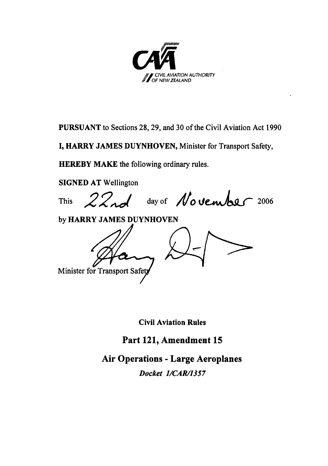

PURSUANT to Sections 28, 29, and 30 of the Civil Aviation Act 1990

I, HARRY JAMES DUYNHOVEN, Minister for Transport Safety,

**HEREBY MAKE** the following ordinary rules.

**SIGNED AT Wellington** 

22nd day of November 2006 This

by HARRY JAMES DUYNHOVEN

Minister for Transport Safety

**Civil Aviation Rules** 

Part 121, Amendment 15

**Air Operations - Large Aeroplanes** 

Docket 1/CAR/1357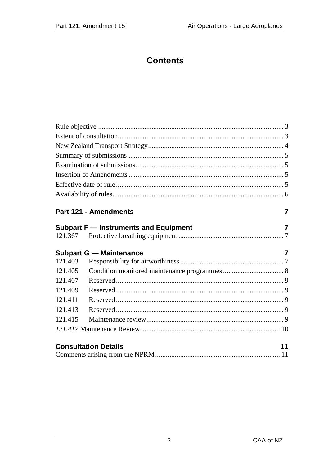# **Contents**

|         | Part 121 - Amendments                 | 7              |
|---------|---------------------------------------|----------------|
|         | Subpart F - Instruments and Equipment | $\overline{7}$ |
|         |                                       |                |
|         | <b>Subpart G - Maintenance</b>        | 7              |
| 121.403 |                                       |                |
| 121.405 |                                       |                |
| 121.407 |                                       |                |
| 121.409 |                                       |                |
| 121.411 |                                       |                |
| 121.413 |                                       |                |
| 121.415 |                                       |                |
|         |                                       |                |
|         | <b>Consultation Details</b>           | 11             |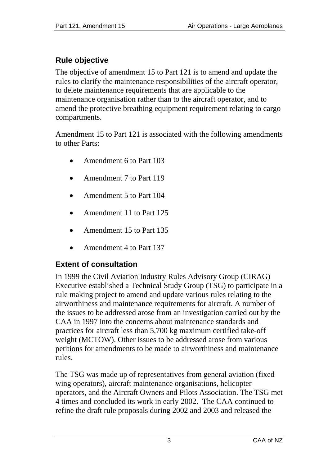# <span id="page-2-0"></span>**Rule objective**

The objective of amendment 15 to Part 121 is to amend and update the rules to clarify the maintenance responsibilities of the aircraft operator, to delete maintenance requirements that are applicable to the maintenance organisation rather than to the aircraft operator, and to amend the protective breathing equipment requirement relating to cargo compartments.

Amendment 15 to Part 121 is associated with the following amendments to other Parts:

- Amendment 6 to Part 103
- Amendment 7 to Part 119
- Amendment 5 to Part 104
- Amendment 11 to Part 125
- Amendment 15 to Part 135
- Amendment 4 to Part 137

# **Extent of consultation**

In 1999 the Civil Aviation Industry Rules Advisory Group (CIRAG) Executive established a Technical Study Group (TSG) to participate in a rule making project to amend and update various rules relating to the airworthiness and maintenance requirements for aircraft. A number of the issues to be addressed arose from an investigation carried out by the CAA in 1997 into the concerns about maintenance standards and practices for aircraft less than 5,700 kg maximum certified take-off weight (MCTOW). Other issues to be addressed arose from various petitions for amendments to be made to airworthiness and maintenance rules.

The TSG was made up of representatives from general aviation (fixed wing operators), aircraft maintenance organisations, helicopter operators, and the Aircraft Owners and Pilots Association. The TSG met 4 times and concluded its work in early 2002. The CAA continued to refine the draft rule proposals during 2002 and 2003 and released the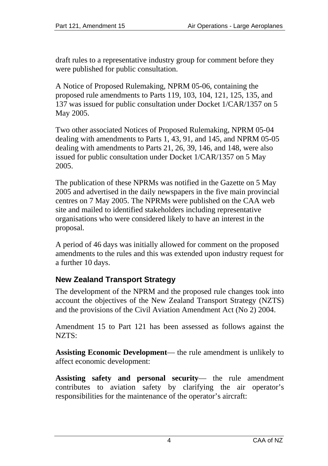<span id="page-3-0"></span>draft rules to a representative industry group for comment before they were published for public consultation.

A Notice of Proposed Rulemaking, NPRM 05-06, containing the proposed rule amendments to Parts 119, 103, 104, 121, 125, 135, and 137 was issued for public consultation under Docket 1/CAR/1357 on 5 May 2005.

Two other associated Notices of Proposed Rulemaking, NPRM 05-04 dealing with amendments to Parts 1, 43, 91, and 145, and NPRM 05-05 dealing with amendments to Parts 21, 26, 39, 146, and 148, were also issued for public consultation under Docket 1/CAR/1357 on 5 May 2005.

The publication of these NPRMs was notified in the Gazette on 5 May 2005 and advertised in the daily newspapers in the five main provincial centres on 7 May 2005. The NPRMs were published on the CAA web site and mailed to identified stakeholders including representative organisations who were considered likely to have an interest in the proposal.

A period of 46 days was initially allowed for comment on the proposed amendments to the rules and this was extended upon industry request for a further 10 days.

# **New Zealand Transport Strategy**

The development of the NPRM and the proposed rule changes took into account the objectives of the New Zealand Transport Strategy (NZTS) and the provisions of the Civil Aviation Amendment Act (No 2) 2004.

Amendment 15 to Part 121 has been assessed as follows against the NZTS:

**Assisting Economic Development**— the rule amendment is unlikely to affect economic development:

**Assisting safety and personal security**— the rule amendment contributes to aviation safety by clarifying the air operator's responsibilities for the maintenance of the operator's aircraft: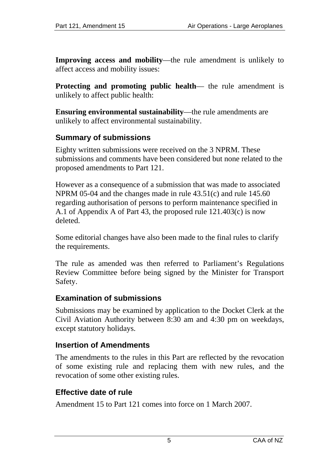<span id="page-4-0"></span>**Improving access and mobility**—the rule amendment is unlikely to affect access and mobility issues:

**Protecting and promoting public health—** the rule amendment is unlikely to affect public health:

**Ensuring environmental sustainability**—the rule amendments are unlikely to affect environmental sustainability.

### **Summary of submissions**

Eighty written submissions were received on the 3 NPRM. These submissions and comments have been considered but none related to the proposed amendments to Part 121.

However as a consequence of a submission that was made to associated NPRM 05-04 and the changes made in rule 43.51(c) and rule 145.60 regarding authorisation of persons to perform maintenance specified in A.1 of Appendix A of Part 43, the proposed rule 121.403(c) is now deleted.

Some editorial changes have also been made to the final rules to clarify the requirements.

The rule as amended was then referred to Parliament's Regulations Review Committee before being signed by the Minister for Transport Safety.

#### **Examination of submissions**

Submissions may be examined by application to the Docket Clerk at the Civil Aviation Authority between 8:30 am and 4:30 pm on weekdays, except statutory holidays.

#### **Insertion of Amendments**

The amendments to the rules in this Part are reflected by the revocation of some existing rule and replacing them with new rules, and the revocation of some other existing rules.

#### **Effective date of rule**

Amendment 15 to Part 121 comes into force on 1 March 2007.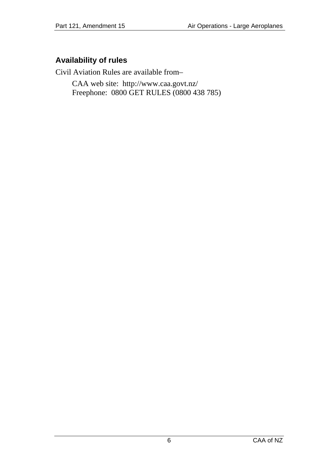# <span id="page-5-0"></span>**Availability of rules**

Civil Aviation Rules are available from–

CAA web site: <http://www.caa.govt.nz/> Freephone: 0800 GET RULES (0800 438 785)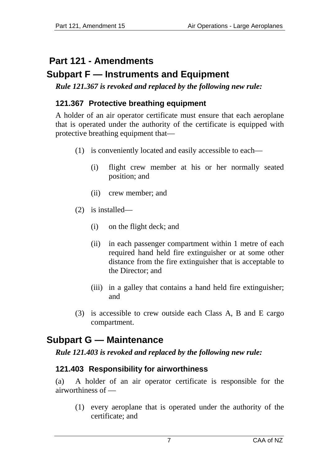# <span id="page-6-0"></span> **Part 121 - Amendments**

# **Subpart F — Instruments and Equipment**

*Rule 121.367 is revoked and replaced by the following new rule:* 

# **121.367 Protective breathing equipment**

A holder of an air operator certificate must ensure that each aeroplane that is operated under the authority of the certificate is equipped with protective breathing equipment that—

- (1) is conveniently located and easily accessible to each—
	- (i) flight crew member at his or her normally seated position; and
	- (ii) crew member; and
- (2) is installed—
	- (i) on the flight deck; and
	- (ii) in each passenger compartment within 1 metre of each required hand held fire extinguisher or at some other distance from the fire extinguisher that is acceptable to the Director; and
	- (iii) in a galley that contains a hand held fire extinguisher; and
- (3) is accessible to crew outside each Class A, B and E cargo compartment.

# **Subpart G — Maintenance**

*Rule 121.403 is revoked and replaced by the following new rule:* 

# **121.403 Responsibility for airworthiness**

(a) A holder of an air operator certificate is responsible for the airworthiness of —

(1) every aeroplane that is operated under the authority of the certificate; and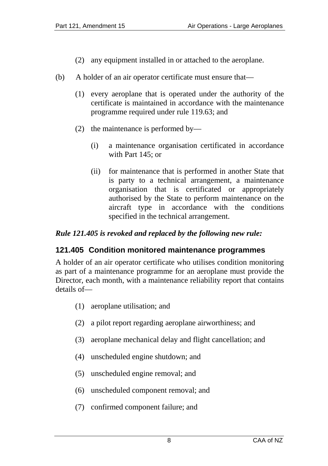- (2) any equipment installed in or attached to the aeroplane.
- <span id="page-7-0"></span>(b) A holder of an air operator certificate must ensure that—
	- (1) every aeroplane that is operated under the authority of the certificate is maintained in accordance with the maintenance programme required under rule 119.63; and
	- (2) the maintenance is performed by—
		- (i) a maintenance organisation certificated in accordance with Part 145; or
		- (ii) for maintenance that is performed in another State that is party to a technical arrangement, a maintenance organisation that is certificated or appropriately authorised by the State to perform maintenance on the aircraft type in accordance with the conditions specified in the technical arrangement.

#### *Rule 121.405 is revoked and replaced by the following new rule:*

### **121.405 Condition monitored maintenance programmes**

A holder of an air operator certificate who utilises condition monitoring as part of a maintenance programme for an aeroplane must provide the Director, each month, with a maintenance reliability report that contains details of—

- (1) aeroplane utilisation; and
- (2) a pilot report regarding aeroplane airworthiness; and
- (3) aeroplane mechanical delay and flight cancellation; and
- (4) unscheduled engine shutdown; and
- (5) unscheduled engine removal; and
- (6) unscheduled component removal; and
- (7) confirmed component failure; and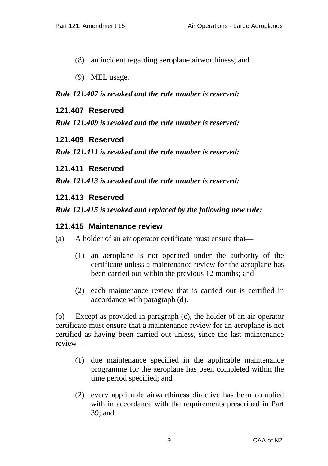- <span id="page-8-0"></span>(8) an incident regarding aeroplane airworthiness; and
- (9) MEL usage.

#### *Rule 121.407 is revoked and the rule number is reserved:*

#### **121.407 Reserved**

*Rule 121.409 is revoked and the rule number is reserved:* 

#### **121.409 Reserved**

*Rule 121.411 is revoked and the rule number is reserved:* 

#### **121.411 Reserved**

*Rule 121.413 is revoked and the rule number is reserved:* 

#### **121.413 Reserved**

#### *Rule 121.415 is revoked and replaced by the following new rule:*

#### **121.415 Maintenance review**

- (a) A holder of an air operator certificate must ensure that—
	- (1) an aeroplane is not operated under the authority of the certificate unless a maintenance review for the aeroplane has been carried out within the previous 12 months; and
	- (2) each maintenance review that is carried out is certified in accordance with paragraph (d).

(b) Except as provided in paragraph (c), the holder of an air operator certificate must ensure that a maintenance review for an aeroplane is not certified as having been carried out unless, since the last maintenance review—

- (1) due maintenance specified in the applicable maintenance programme for the aeroplane has been completed within the time period specified; and
- (2) every applicable airworthiness directive has been complied with in accordance with the requirements prescribed in Part 39; and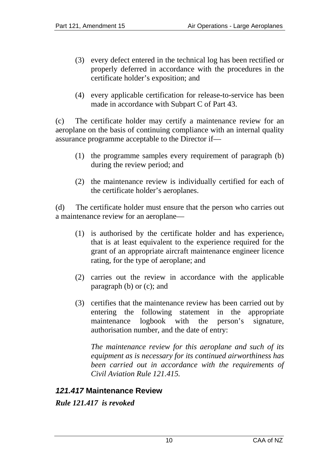- <span id="page-9-0"></span>(3) every defect entered in the technical log has been rectified or properly deferred in accordance with the procedures in the certificate holder's exposition; and
- (4) every applicable certification for release-to-service has been made in accordance with Subpart C of Part 43.

(c) The certificate holder may certify a maintenance review for an aeroplane on the basis of continuing compliance with an internal quality assurance programme acceptable to the Director if—

- (1) the programme samples every requirement of paragraph (b) during the review period; and
- (2) the maintenance review is individually certified for each of the certificate holder's aeroplanes.

(d) The certificate holder must ensure that the person who carries out a maintenance review for an aeroplane—

- (1) is authorised by the certificate holder and has experience, that is at least equivalent to the experience required for the grant of an appropriate aircraft maintenance engineer licence rating, for the type of aeroplane; and
- (2) carries out the review in accordance with the applicable paragraph (b) or (c); and
- (3) certifies that the maintenance review has been carried out by entering the following statement in the appropriate maintenance logbook with the person's signature, authorisation number, and the date of entry:

*The maintenance review for this aeroplane and such of its equipment as is necessary for its continued airworthiness has been carried out in accordance with the requirements of Civil Aviation Rule 121.415.* 

### *121.417* **Maintenance Review**

*Rule 121.417 is revoked*